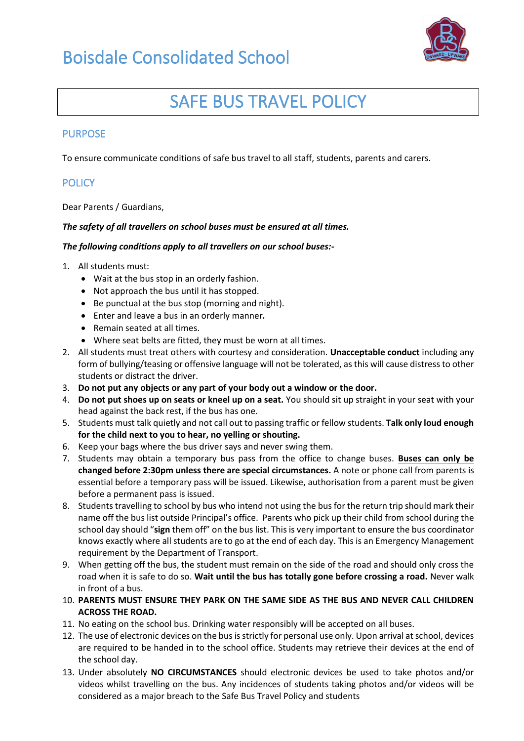

## SAFE BUS TRAVEL POLICY

#### PURPOSE

To ensure communicate conditions of safe bus travel to all staff, students, parents and carers.

### **POLICY**

Dear Parents / Guardians,

#### *The safety of all travellers on school buses must be ensured at all times.*

#### *The following conditions apply to all travellers on our school buses:-*

- 1. All students must:
	- Wait at the bus stop in an orderly fashion.
	- Not approach the bus until it has stopped.
	- Be punctual at the bus stop (morning and night).
	- Enter and leave a bus in an orderly manner*.*
	- Remain seated at all times.
	- Where seat belts are fitted, they must be worn at all times.
- 2. All students must treat others with courtesy and consideration. **Unacceptable conduct** including any form of bullying/teasing or offensive language will not be tolerated, as this will cause distress to other students or distract the driver.
- 3. **Do not put any objects or any part of your body out a window or the door.**
- 4. **Do not put shoes up on seats or kneel up on a seat.** You should sit up straight in your seat with your head against the back rest, if the bus has one.
- 5. Students must talk quietly and not call out to passing traffic or fellow students. **Talk only loud enough for the child next to you to hear, no yelling or shouting.**
- 6. Keep your bags where the bus driver says and never swing them.
- 7. Students may obtain a temporary bus pass from the office to change buses. **Buses can only be changed before 2:30pm unless there are special circumstances.** A note or phone call from parents is essential before a temporary pass will be issued. Likewise, authorisation from a parent must be given before a permanent pass is issued.
- 8. Students travelling to school by bus who intend not using the bus for the return trip should mark their name off the bus list outside Principal's office. Parents who pick up their child from school during the school day should "**sign** them off" on the bus list. This is very important to ensure the bus coordinator knows exactly where all students are to go at the end of each day. This is an Emergency Management requirement by the Department of Transport.
- 9. When getting off the bus, the student must remain on the side of the road and should only cross the road when it is safe to do so. **Wait until the bus has totally gone before crossing a road.** Never walk in front of a bus.
- 10. **PARENTS MUST ENSURE THEY PARK ON THE SAME SIDE AS THE BUS AND NEVER CALL CHILDREN ACROSS THE ROAD.**
- 11. No eating on the school bus. Drinking water responsibly will be accepted on all buses.
- 12. The use of electronic devices on the bus is strictly for personal use only. Upon arrival at school, devices are required to be handed in to the school office. Students may retrieve their devices at the end of the school day.
- 13. Under absolutely **NO CIRCUMSTANCES** should electronic devices be used to take photos and/or videos whilst travelling on the bus. Any incidences of students taking photos and/or videos will be considered as a major breach to the Safe Bus Travel Policy and students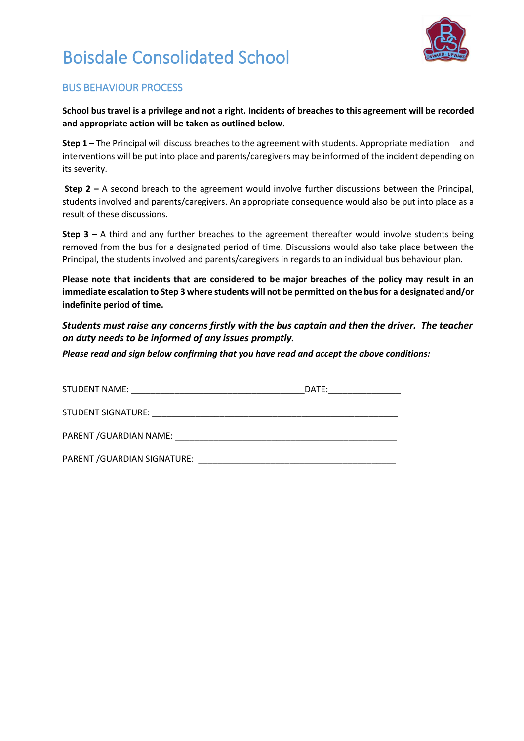

# Boisdale Consolidated School

### BUS BEHAVIOUR PROCESS

**School bus travel is a privilege and not a right. Incidents of breaches to this agreement will be recorded and appropriate action will be taken as outlined below.** 

**Step 1** – The Principal will discuss breaches to the agreement with students. Appropriate mediation and interventions will be put into place and parents/caregivers may be informed of the incident depending on its severity.

**Step 2 –** A second breach to the agreement would involve further discussions between the Principal, students involved and parents/caregivers. An appropriate consequence would also be put into place as a result of these discussions.

**Step 3 –** A third and any further breaches to the agreement thereafter would involve students being removed from the bus for a designated period of time. Discussions would also take place between the Principal, the students involved and parents/caregivers in regards to an individual bus behaviour plan.

**Please note that incidents that are considered to be major breaches of the policy may result in an immediate escalation to Step 3 where students will not be permitted on the bus for a designated and/or indefinite period of time.**

*Students must raise any concerns firstly with the bus captain and then the driver. The teacher on duty needs to be informed of any issues promptly.*

*Please read and sign below confirming that you have read and accept the above conditions:*

| STUDENT NAME:                                                                 | DATE: |
|-------------------------------------------------------------------------------|-------|
| STUDENT SIGNATURE:<br><u> 1980 - Jan Stein Stein, Amerikaansk politiker (</u> |       |
| PARENT / GUARDIAN NAME:                                                       |       |
| PARENT / GUARDIAN SIGNATURE:                                                  |       |